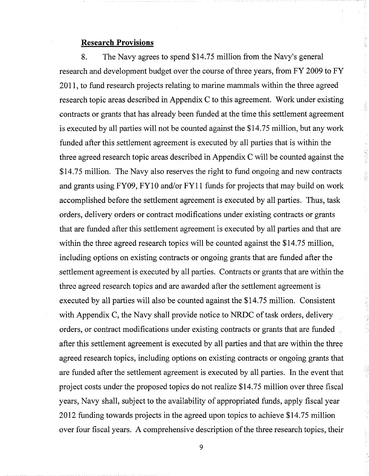# **Research Provisions**

8. The Navy agrees to spend \$14.75 million from the Navy's general research and development budget over the course of three years, from FY 2009 to FY 2011, to fund research projects relating to marine mammals within the three agreed research topic areas described in Appendix C to this agreement. Work under existing contracts or grants that has already been funded at the time this settlement agreement is executed by all parties will not be counted against the \$14.75 million, but any work funded after this settlement agreement is executed by all parties that is within the three agreed research topic areas described in Appendix C will be counted against the \$14.75 million. The Navy also reserves the right to fund ongoing and new contracts and grants using FY09, FY10 and/or FY11 funds for projects that may build on work accomplished before the settlement agreement is executed by all parties. Thus, task orders, delivery orders or contract modificationsunder existing contracts or grants that are funded after this settlement agreement is executed by all parties and that are within the three agreed research topics will be counted against the \$14.75 million, including options on existing contracts or ongoing grants that are funded after the settlement agreement is executed by all parties. Contracts or grants that are within the three agreed research topics and are awarded after the settlement agreement is executed by all parties will also be counted against the \$14.75 million. Consistent with Appendix C, the Navy shall provide notice to NRDC of task orders, delivery orders, or contract modifications under existing contracts or grants that are funded after this settlement agreement is executed by all parties and that are within the three agreed research topics, including options on existing contracts or ongoing grants that are funded after the settlement agreement is executed by all parties. In the event that project costs under the proposed topics do not realize \$14.75 million over three fiscal years, Navy shall, subject to the availability of appropriated funds, apply fiscal year 2012 funding towards projects in the agreed upon topics to achieve \$14.75 million over four fiscal years. A comprehensive description of the three research topics, their

法定期

Ŷ,

 $\mathcal{G}$ 海洋学院

2. 200 200

S.

9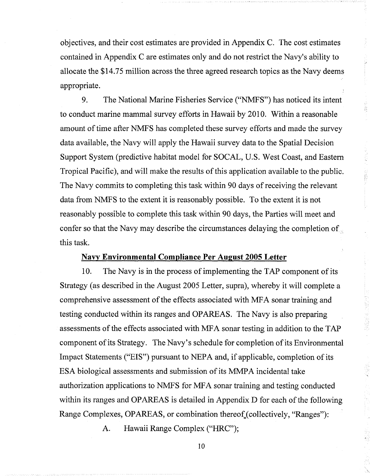objectives, and their cost estimates are provided in Appendix C. The cost estimates contained in Appendix C are estimates only and do not restrict the Navy's ability to allocate the \$14.75 million across the three agreed research topics asthe Navy deems appropriate.

ian<br>B

9. The National Marine Fisheries Service ("NMFS") has noticed its intent to conduct marine mammal survey efforts in Hawaii by 2010. Within a reasonable amount of time after NMFS has completed these survey efforts and made the survey data available, the Navy will apply the Hawaii survey data to the Spatial Decision Support System (predictive habitat model for SOCAL, U.S. West Coast, and Eastern Tropical Pacific), and will make the results of this application available to the public. The Navy commits to completing this task within 90 days of receiving the relevant data from NMFS to the extent it is reasonably possible. To the extent it is not reasonably possible to complete this task within 90 days, the Parties will meet and confer so that the Navy may describe the circumstances delaying the completion of this task.

Navy **Environmental Compliance Per August 2005 Letter**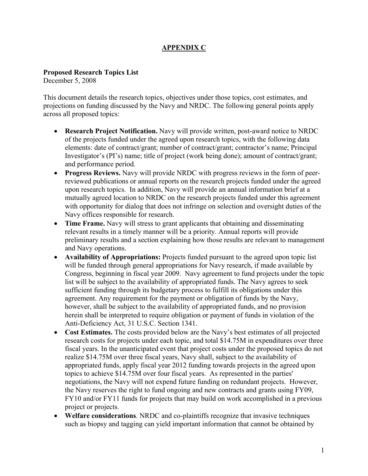# **APPENDIX C**

# **Proposed Research Topics List**

December 5, 2008

This document details the research topics, objectives under those topics, cost estimates, and projections on funding discussed by the Navy and NRDC. The following general points apply across all proposed topics:

- ! **Research Project Notification.** Navy will provide written, post-award notice to NRDC of the projects funded under the agreed upon research topics, with the following data elements: date of contract/grant; number of contract/grant; contractor's name; Principal Investigator's (PI's) name; title of project (work being done); amount of contract/grant; and performance period.
- ! **Progress Reviews.** Navy will provide NRDC with progress reviews in the form of peerreviewed publications or annual reports on the research projects funded under the agreed upon research topics. In addition, Navy will provide an annual information brief at a mutually agreed location to NRDC on the research projects funded under this agreement with opportunity for dialog that does not infringe on selection and oversight duties of the Navy offices responsible for research.
- **Time Frame.** Navy will stress to grant applicants that obtaining and disseminating relevant results in a timely manner will be a priority. Annual reports will provide preliminary results and a section explaining how those results are relevant to management and Navy operations.
- ! **Availability of Appropriations:** Projects funded pursuant to the agreed upon topic list will be funded through general appropriations for Navy research, if made available by Congress, beginning in fiscal year 2009. Navy agreement to fund projects under the topic list will be subject to the availability of appropriated funds. The Navy agrees to seek sufficient funding through its budgetary process to fulfill its obligations under this agreement. Any requirement for the payment or obligation of funds by the Navy, however, shall be subject to the availability of appropriated funds, and no provision herein shall be interpreted to require obligation or payment of funds in violation of the Anti-Deficiency Act, 31 U.S.C. Section 1341.
- ! **Cost Estimates.** The costs provided below are the Navy's best estimates of all projected research costs for projects under each topic, and total \$14.75M in expenditures over three fiscal years. In the unanticipated event that project costs under the proposed topics do not realize \$14.75M over three fiscal years, Navy shall, subject to the availability of appropriated funds, apply fiscal year 2012 funding towards projects in the agreed upon topics to achieve \$14.75M over four fiscal years. As represented in the parties' negotiations, the Navy will not expend future funding on redundant projects. However, the Navy reserves the right to fund ongoing and new contracts and grants using FY09, FY10 and/or FY11 funds for projects that may build on work accomplished in a previous project or projects.
- ! **Welfare considerations**. NRDC and co-plaintiffs recognize that invasive techniques such as biopsy and tagging can yield important information that cannot be obtained by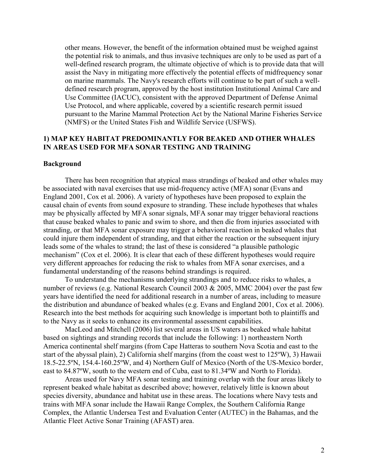other means. However, the benefit of the information obtained must be weighed against the potential risk to animals, and thus invasive techniques are only to be used as part of a well-defined research program, the ultimate objective of which is to provide data that will assist the Navy in mitigating more effectively the potential effects of midfrequency sonar on marine mammals. The Navy's research efforts will continue to be part of such a welldefined research program, approved by the host institution Institutional Animal Care and Use Committee (IACUC), consistent with the approved Department of Defense Animal Use Protocol, and where applicable, covered by a scientific research permit issued pursuant to the Marine Mammal Protection Act by the National Marine Fisheries Service (NMFS) or the United States Fish and Wildlife Service (USFWS).

## **1) MAP KEY HABITAT PREDOMINANTLY FOR BEAKED AND OTHER WHALES IN AREAS USED FOR MFA SONAR TESTING AND TRAINING**

#### **Background**

There has been recognition that atypical mass strandings of beaked and other whales may be associated with naval exercises that use mid-frequency active (MFA) sonar (Evans and England 2001, Cox et al. 2006). A variety of hypotheses have been proposed to explain the causal chain of events from sound exposure to stranding. These include hypotheses that whales may be physically affected by MFA sonar signals, MFA sonar may trigger behavioral reactions that cause beaked whales to panic and swim to shore, and then die from injuries associated with stranding, or that MFA sonar exposure may trigger a behavioral reaction in beaked whales that could injure them independent of stranding, and that either the reaction or the subsequent injury leads some of the whales to strand; the last of these is considered "a plausible pathologic mechanism" (Cox et el. 2006). It is clear that each of these different hypotheses would require very different approaches for reducing the risk to whales from MFA sonar exercises, and a fundamental understanding of the reasons behind strandings is required.

To understand the mechanisms underlying strandings and to reduce risks to whales, a number of reviews (e.g. National Research Council 2003 & 2005, MMC 2004) over the past few years have identified the need for additional research in a number of areas, including to measure the distribution and abundance of beaked whales (e.g. Evans and England 2001, Cox et al. 2006). Research into the best methods for acquiring such knowledge is important both to plaintiffs and to the Navy as it seeks to enhance its environmental assessment capabilities.

MacLeod and Mitchell (2006) list several areas in US waters as beaked whale habitat based on sightings and stranding records that include the following: 1) northeastern North America continental shelf margins (from Cape Hatteras to southern Nova Scotia and east to the start of the abyssal plain), 2) California shelf margins (from the coast west to 125ºW), 3) Hawaii 18.5-22.5ºN, 154.4-160.25ºW, and 4) Northern Gulf of Mexico (North of the US-Mexico border, east to 84.87ºW, south to the western end of Cuba, east to 81.34ºW and North to Florida).

Areas used for Navy MFA sonar testing and training overlap with the four areas likely to represent beaked whale habitat as described above; however, relatively little is known about species diversity, abundance and habitat use in these areas. The locations where Navy tests and trains with MFA sonar include the Hawaii Range Complex, the Southern California Range Complex, the Atlantic Undersea Test and Evaluation Center (AUTEC) in the Bahamas, and the Atlantic Fleet Active Sonar Training (AFAST) area.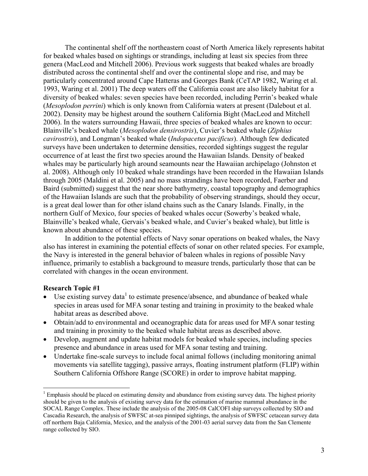The continental shelf off the northeastern coast of North America likely represents habitat for beaked whales based on sightings or strandings, including at least six species from three genera (MacLeod and Mitchell 2006). Previous work suggests that beaked whales are broadly distributed across the continental shelf and over the continental slope and rise, and may be particularly concentrated around Cape Hatteras and Georges Bank (CeTAP 1982, Waring et al. 1993, Waring et al. 2001) The deep waters off the California coast are also likely habitat for a diversity of beaked whales: seven species have been recorded, including Perrin's beaked whale (*Mesoplodon perrini*) which is only known from California waters at present (Dalebout et al. 2002). Density may be highest around the southern California Bight (MacLeod and Mitchell 2006). In the waters surrounding Hawaii, three species of beaked whales are known to occur: Blainville's beaked whale (*Mesoplodon densirostris*), Cuvier's beaked whale (*Ziphius cavirostris*), and Longman's beaked whale (*Indopacetus pacificus*). Although few dedicated surveys have been undertaken to determine densities, recorded sightings suggest the regular occurrence of at least the first two species around the Hawaiian Islands. Density of beaked whales may be particularly high around seamounts near the Hawaiian archipelago (Johnston et al. 2008). Although only 10 beaked whale strandings have been recorded in the Hawaiian Islands through 2005 (Maldini et al. 2005) and no mass strandings have been recorded, Faerber and Baird (submitted) suggest that the near shore bathymetry, coastal topography and demographics of the Hawaiian Islands are such that the probability of observing strandings, should they occur, is a great deal lower than for other island chains such as the Canary Islands. Finally, in the northern Gulf of Mexico, four species of beaked whales occur (Sowerby's beaked whale, Blainville's beaked whale, Gervais's beaked whale, and Cuvier's beaked whale), but little is known about abundance of these species.

In addition to the potential effects of Navy sonar operations on beaked whales, the Navy also has interest in examining the potential effects of sonar on other related species. For example, the Navy is interested in the general behavior of baleen whales in regions of possible Navy influence, primarily to establish a background to measure trends, particularly those that can be correlated with changes in the ocean environment.

#### **Research Topic #1**

 $\overline{a}$ 

- $\bullet$  Use existing survey data<sup>1</sup> to estimate presence/absence, and abundance of beaked whale species in areas used for MFA sonar testing and training in proximity to the beaked whale habitat areas as described above.
- Obtain/add to environmental and oceanographic data for areas used for MFA sonar testing and training in proximity to the beaked whale habitat areas as described above.
- Develop, augment and update habitat models for beaked whale species, including species presence and abundance in areas used for MFA sonar testing and training.
- Undertake fine-scale surveys to include focal animal follows (including monitoring animal movements via satellite tagging), passive arrays, floating instrument platform (FLIP) within Southern California Offshore Range (SCORE) in order to improve habitat mapping.

 $<sup>1</sup>$  Emphasis should be placed on estimating density and abundance from existing survey data. The highest priority</sup> should be given to the analysis of existing survey data for the estimation of marine mammal abundance in the SOCAL Range Complex. These include the analysis of the 2005-08 CalCOFI ship surveys collected by SIO and Cascadia Research, the analysis of SWFSC at-sea pinniped sightings, the analysis of SWFSC cetacean survey data off northern Baja California, Mexico, and the analysis of the 2001-03 aerial survey data from the San Clemente range collected by SIO.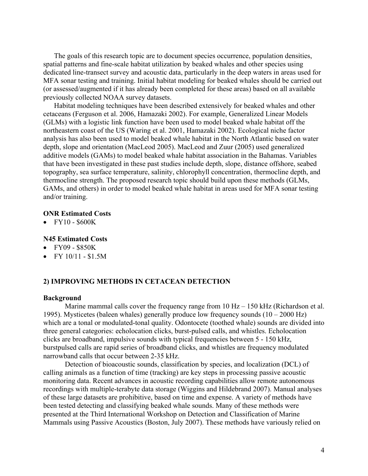The goals of this research topic are to document species occurrence, population densities, spatial patterns and fine-scale habitat utilization by beaked whales and other species using dedicated line-transect survey and acoustic data, particularly in the deep waters in areas used for MFA sonar testing and training. Initial habitat modeling for beaked whales should be carried out (or assessed/augmented if it has already been completed for these areas) based on all available previously collected NOAA survey datasets.

Habitat modeling techniques have been described extensively for beaked whales and other cetaceans (Ferguson et al. 2006, Hamazaki 2002). For example, Generalized Linear Models (GLMs) with a logistic link function have been used to model beaked whale habitat off the northeastern coast of the US (Waring et al. 2001, Hamazaki 2002). Ecological niche factor analysis has also been used to model beaked whale habitat in the North Atlantic based on water depth, slope and orientation (MacLeod 2005). MacLeod and Zuur (2005) used generalized additive models (GAMs) to model beaked whale habitat association in the Bahamas. Variables that have been investigated in these past studies include depth, slope, distance offshore, seabed topography, sea surface temperature, salinity, chlorophyll concentration, thermocline depth, and thermocline strength. The proposed research topic should build upon these methods (GLMs, GAMs, and others) in order to model beaked whale habitat in areas used for MFA sonar testing and/or training.

#### **ONR Estimated Costs**

 $\bullet$  FY10 - \$600K

### **N45 Estimated Costs**

- ! FY09 \$850K
- $\bullet$  FY 10/11 \$1.5M

#### **2) IMPROVING METHODS IN CETACEAN DETECTION**

#### **Background**

Marine mammal calls cover the frequency range from  $10$  Hz  $- 150$  kHz (Richardson et al. 1995). Mysticetes (baleen whales) generally produce low frequency sounds  $(10 - 2000 \text{ Hz})$ which are a tonal or modulated-tonal quality. Odontocete (toothed whale) sounds are divided into three general categories: echolocation clicks, burst-pulsed calls, and whistles. Echolocation clicks are broadband, impulsive sounds with typical frequencies between 5 - 150 kHz, burstpulsed calls are rapid series of broadband clicks, and whistles are frequency modulated narrowband calls that occur between 2-35 kHz.

Detection of bioacoustic sounds, classification by species, and localization (DCL) of calling animals as a function of time (tracking) are key steps in processing passive acoustic monitoring data. Recent advances in acoustic recording capabilities allow remote autonomous recordings with multiple-terabyte data storage (Wiggins and Hildebrand 2007). Manual analyses of these large datasets are prohibitive, based on time and expense. A variety of methods have been tested detecting and classifying beaked whale sounds. Many of these methods were presented at the Third International Workshop on Detection and Classification of Marine Mammals using Passive Acoustics (Boston, July 2007). These methods have variously relied on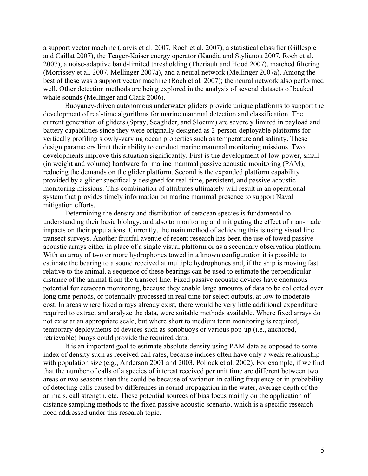a support vector machine (Jarvis et al. 2007, Roch et al. 2007), a statistical classifier (Gillespie and Caillat 2007), the Teager-Kaiser energy operator (Kandia and Stylianou 2007, Roch et al. 2007), a noise-adaptive band-limited thresholding (Theriault and Hood 2007), matched filtering (Morrissey et al. 2007, Mellinger 2007a), and a neural network (Mellinger 2007a). Among the best of these was a support vector machine (Roch et al. 2007); the neural network also performed well. Other detection methods are being explored in the analysis of several datasets of beaked whale sounds (Mellinger and Clark 2006).

Buoyancy-driven autonomous underwater gliders provide unique platforms to support the development of real-time algorithms for marine mammal detection and classification. The current generation of gliders (Spray, Seaglider, and Slocum) are severely limited in payload and battery capabilities since they were originally designed as 2-person-deployable platforms for vertically profiling slowly-varying ocean properties such as temperature and salinity. These design parameters limit their ability to conduct marine mammal monitoring missions. Two developments improve this situation significantly. First is the development of low-power, small (in weight and volume) hardware for marine mammal passive acoustic monitoring (PAM), reducing the demands on the glider platform. Second is the expanded platform capability provided by a glider specifically designed for real-time, persistent, and passive acoustic monitoring missions. This combination of attributes ultimately will result in an operational system that provides timely information on marine mammal presence to support Naval mitigation efforts.

Determining the density and distribution of cetacean species is fundamental to understanding their basic biology, and also to monitoring and mitigating the effect of man-made impacts on their populations. Currently, the main method of achieving this is using visual line transect surveys. Another fruitful avenue of recent research has been the use of towed passive acoustic arrays either in place of a single visual platform or as a secondary observation platform. With an array of two or more hydrophones towed in a known configuration it is possible to estimate the bearing to a sound received at multiple hydrophones and, if the ship is moving fast relative to the animal, a sequence of these bearings can be used to estimate the perpendicular distance of the animal from the transect line. Fixed passive acoustic devices have enormous potential for cetacean monitoring, because they enable large amounts of data to be collected over long time periods, or potentially processed in real time for select outputs, at low to moderate cost. In areas where fixed arrays already exist, there would be very little additional expenditure required to extract and analyze the data, were suitable methods available. Where fixed arrays do not exist at an appropriate scale, but where short to medium term monitoring is required, temporary deployments of devices such as sonobuoys or various pop-up (i.e., anchored, retrievable) buoys could provide the required data.

It is an important goal to estimate absolute density using PAM data as opposed to some index of density such as received call rates, because indices often have only a weak relationship with population size (e.g., Anderson 2001 and 2003, Pollock et al. 2002). For example, if we find that the number of calls of a species of interest received per unit time are different between two areas or two seasons then this could be because of variation in calling frequency or in probability of detecting calls caused by differences in sound propagation in the water, average depth of the animals, call strength, etc. These potential sources of bias focus mainly on the application of distance sampling methods to the fixed passive acoustic scenario, which is a specific research need addressed under this research topic.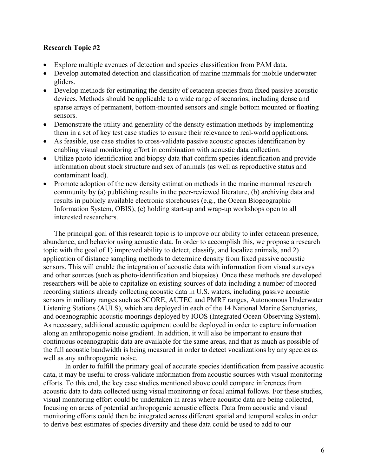## **Research Topic #2**

- ! Explore multiple avenues of detection and species classification from PAM data.
- ! Develop automated detection and classification of marine mammals for mobile underwater gliders.
- Develop methods for estimating the density of cetacean species from fixed passive acoustic devices. Methods should be applicable to a wide range of scenarios, including dense and sparse arrays of permanent, bottom-mounted sensors and single bottom mounted or floating sensors.
- Demonstrate the utility and generality of the density estimation methods by implementing them in a set of key test case studies to ensure their relevance to real-world applications.
- ! As feasible, use case studies to cross-validate passive acoustic species identification by enabling visual monitoring effort in combination with acoustic data collection.
- ! Utilize photo-identification and biopsy data that confirm species identification and provide information about stock structure and sex of animals (as well as reproductive status and contaminant load).
- ! Promote adoption of the new density estimation methods in the marine mammal research community by (a) publishing results in the peer-reviewed literature, (b) archiving data and results in publicly available electronic storehouses (e.g., the Ocean Biogeographic Information System, OBIS), (c) holding start-up and wrap-up workshops open to all interested researchers.

The principal goal of this research topic is to improve our ability to infer cetacean presence, abundance, and behavior using acoustic data. In order to accomplish this, we propose a research topic with the goal of 1) improved ability to detect, classify, and localize animals, and 2) application of distance sampling methods to determine density from fixed passive acoustic sensors. This will enable the integration of acoustic data with information from visual surveys and other sources (such as photo-identification and biopsies). Once these methods are developed researchers will be able to capitalize on existing sources of data including a number of moored recording stations already collecting acoustic data in U.S. waters, including passive acoustic sensors in military ranges such as SCORE, AUTEC and PMRF ranges, Autonomous Underwater Listening Stations (AULS), which are deployed in each of the 14 National Marine Sanctuaries, and oceanographic acoustic moorings deployed by IOOS (Integrated Ocean Observing System). As necessary, additional acoustic equipment could be deployed in order to capture information along an anthropogenic noise gradient. In addition, it will also be important to ensure that continuous oceanographic data are available for the same areas, and that as much as possible of the full acoustic bandwidth is being measured in order to detect vocalizations by any species as well as any anthropogenic noise.

In order to fulfill the primary goal of accurate species identification from passive acoustic data, it may be useful to cross-validate information from acoustic sources with visual monitoring efforts. To this end, the key case studies mentioned above could compare inferences from acoustic data to data collected using visual monitoring or focal animal follows. For these studies, visual monitoring effort could be undertaken in areas where acoustic data are being collected, focusing on areas of potential anthropogenic acoustic effects. Data from acoustic and visual monitoring efforts could then be integrated across different spatial and temporal scales in order to derive best estimates of species diversity and these data could be used to add to our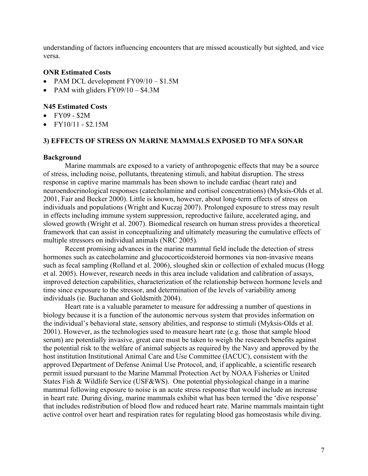understanding of factors influencing encounters that are missed acoustically but sighted, and vice versa.

### **ONR Estimated Costs**

- PAM DCL development  $FY09/10 $1.5M$
- PAM with gliders  $FY09/10 $4.3M$

## **N45 Estimated Costs**

- ! FY09 \$2M
- $\bullet$  FY10/11 \$2.15M

### **3) EFFECTS OF STRESS ON MARINE MAMMALS EXPOSED TO MFA SONAR**

#### **Background**

Marine mammals are exposed to a variety of anthropogenic effects that may be a source of stress, including noise, pollutants, threatening stimuli, and habitat disruption. The stress response in captive marine mammals has been shown to include cardiac (heart rate) and neuroendocrinological responses (catecholamine and cortisol concentrations) (Myksis-Olds et al. 2001, Fair and Becker 2000). Little is known, however, about long-term effects of stress on individuals and populations (Wright and Kuczaj 2007). Prolonged exposure to stress may result in effects including immune system suppression, reproductive failure, accelerated aging, and slowed growth (Wright et al. 2007). Biomedical research on human stress provides a theoretical framework that can assist in conceptualizing and ultimately measuring the cumulative effects of multiple stressors on individual animals (NRC 2005).

Recent promising advances in the marine mammal field include the detection of stress hormones such as catecholamine and glucocorticoidsteroid hormones via non-invasive means such as fecal sampling (Rolland et al. 2006), sloughed skin or collection of exhaled mucus (Hogg et al. 2005). However, research needs in this area include validation and calibration of assays, improved detection capabilities, characterization of the relationship between hormone levels and time since exposure to the stressor, and determination of the levels of variability among individuals (ie. Buchanan and Goldsmith 2004).

Heart rate is a valuable parameter to measure for addressing a number of questions in biology because it is a function of the autonomic nervous system that provides information on the individual's behavioral state, sensory abilities, and response to stimuli (Myksis-Olds et al. 2001). However, as the technologies used to measure heart rate (e.g. those that sample blood serum) are potentially invasive, great care must be taken to weigh the research benefits against the potential risk to the welfare of animal subjects as required by the Navy and approved by the host institution Institutional Animal Care and Use Committee (IACUC), consistent with the approved Department of Defense Animal Use Protocol, and, if applicable, a scientific research permit issued pursuant to the Marine Mammal Protection Act by NOAA Fisheries or United States Fish & Wildlife Service (USF&WS). One potential physiological change in a marine mammal following exposure to noise is an acute stress response that would include an increase in heart rate. During diving, marine mammals exhibit what has been termed the 'dive response' that includes redistribution of blood flow and reduced heart rate. Marine mammals maintain tight active control over heart and respiration rates for regulating blood gas homeostasis while diving.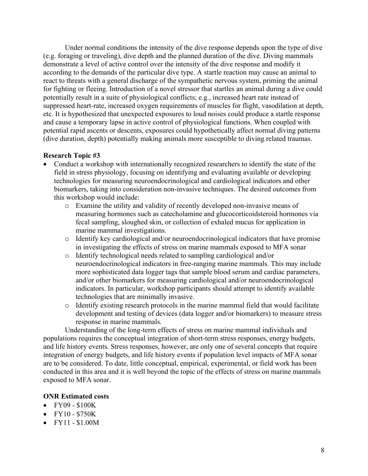Under normal conditions the intensity of the dive response depends upon the type of dive (e.g. foraging or traveling), dive depth and the planned duration of the dive. Diving mammals demonstrate a level of active control over the intensity of the dive response and modify it according to the demands of the particular dive type. A startle reaction may cause an animal to react to threats with a general discharge of the sympathetic nervous system, priming the animal for fighting or fleeing. Introduction of a novel stressor that startles an animal during a dive could potentially result in a suite of physiological conflicts; e.g., increased heart rate instead of suppressed heart-rate, increased oxygen requirements of muscles for flight, vasodilation at depth, etc. It is hypothesized that unexpected exposures to loud noises could produce a startle response and cause a temporary lapse in active control of physiological functions. When coupled with potential rapid ascents or descents, exposures could hypothetically affect normal diving patterns (dive duration, depth) potentially making animals more susceptible to diving related traumas.

# **Research Topic #3**

- ! Conduct a workshop with internationally recognized researchers to identify the state of the field in stress physiology, focusing on identifying and evaluating available or developing technologies for measuring neuroendocrinological and cardiological indicators and other biomarkers, taking into consideration non-invasive techniques. The desired outcomes from this workshop would include:
	- o Examine the utility and validity of recently developed non-invasive means of measuring hormones such as catecholamine and glucocorticoidsteroid hormones via fecal sampling, sloughed skin, or collection of exhaled mucus for application in marine mammal investigations.
	- o Identify key cardiological and/or neuroendocrinological indicators that have promise in investigating the effects of stress on marine mammals exposed to MFA sonar
	- o Identify technological needs related to sampling cardiological and/or neuroendocrinological indicators in free-ranging marine mammals. This may include more sophisticated data logger tags that sample blood serum and cardiac parameters, and/or other biomarkers for measuring cardiological and/or neuroendocrinological indicators. In particular, workshop participants should attempt to identify available technologies that are minimally invasive.
	- o Identify existing research protocols in the marine mammal field that would facilitate development and testing of devices (data logger and/or biomarkers) to measure stress response in marine mammals.

Understanding of the long-term effects of stress on marine mammal individuals and populations requires the conceptual integration of short-term stress responses, energy budgets, and life history events. Stress responses, however, are only one of several concepts that require integration of energy budgets, and life history events if population level impacts of MFA sonar are to be considered. To date, little conceptual, empirical, experimental, or field work has been conducted in this area and it is well beyond the topic of the effects of stress on marine mammals exposed to MFA sonar.

# **ONR Estimated costs**

- FY09 \$100K
- $\bullet$  FY10 \$750K
- $\bullet$  FY11 \$1.00M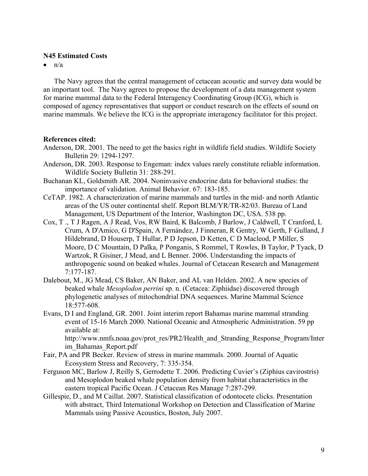### **N45 Estimated Costs**

 $\bullet$  n/a

The Navy agrees that the central management of cetacean acoustic and survey data would be an important tool. The Navy agrees to propose the development of a data management system for marine mammal data to the Federal Interagency Coordinating Group (ICG), which is composed of agency representatives that support or conduct research on the effects of sound on marine mammals. We believe the ICG is the appropriate interagency facilitator for this project.

#### **References cited:**

- Anderson, DR. 2001. The need to get the basics right in wildlife field studies. Wildlife Society Bulletin 29: 1294-1297.
- Anderson, DR. 2003. Response to Engeman: index values rarely constitute reliable information. Wildlife Society Bulletin 31: 288-291.
- Buchanan KL, Goldsmith AR. 2004. Noninvasive endocrine data for behavioral studies: the importance of validation. Animal Behavior. 67: 183-185.
- CeTAP. 1982. A characterization of marine mammals and turtles in the mid- and north Atlantic areas of the US outer continental shelf. Report BLM/YR/TR-82/03. Bureau of Land Management, US Department of the Interior, Washington DC, USA. 538 pp.
- Cox, T ., T J Ragen, A J Read, Vos, RW Baird, K Balcomb, J Barlow, J Caldwell, T Cranford, L Crum, A D'Amico, G D'Spain, A Fernández, J Finneran, R Gentry, W Gerth, F Gulland, J Hildebrand, D Houserp, T Hullar, P D Jepson, D Ketten, C D Macleod, P Miller, S Moore, D C Mountain, D Palka, P Ponganis, S Rommel, T Rowles, B Taylor, P Tyack, D Wartzok, R Gisiner, J Mead, and L Benner. 2006. Understanding the impacts of anthropogenic sound on beaked whales. Journal of Cetacean Research and Management 7:177-187.
- Dalebout, M., JG Mead, CS Baker, AN Baker, and AL van Helden. 2002. A new species of beaked whale *Mesoplodon perrini* sp. n. (Cetacea: Ziphiidae) discovered through phylogenetic analyses of mitochondrial DNA sequences. Marine Mammal Science 18:577-608.
- Evans, D I and England, GR. 2001. Joint interim report Bahamas marine mammal stranding event of 15-16 March 2000. National Oceanic and Atmospheric Administration. 59 pp available at:

http://www.nmfs.noaa.gov/prot\_res/PR2/Health\_and\_Stranding\_Response\_Program/Inter im\_Bahamas\_Report.pdf

- Fair, PA and PR Becker. Review of stress in marine mammals. 2000. Journal of Aquatic Ecosystem Stress and Recovery, 7: 335-354.
- Ferguson MC, Barlow J, Reilly S, Gerrodette T. 2006. Predicting Cuvier's (Ziphius cavirostris) and Mesoplodon beaked whale population density from habitat characteristics in the eastern tropical Pacific Ocean. J Cetacean Res Manage 7:287-299.
- Gillespie, D., and M Caillat. 2007. Statistical classification of odontocete clicks. Presentation with abstract, Third International Workshop on Detection and Classification of Marine Mammals using Passive Acoustics, Boston, July 2007.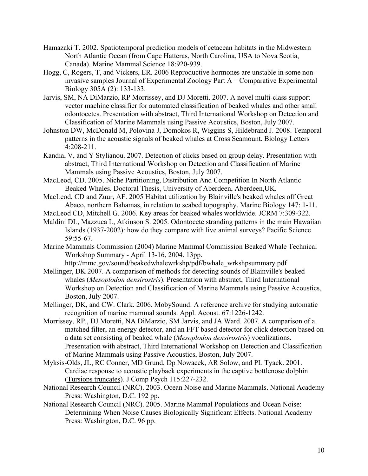- Hamazaki T. 2002. Spatiotemporal prediction models of cetacean habitats in the Midwestern North Atlantic Ocean (from Cape Hatteras, North Carolina, USA to Nova Scotia, Canada). Marine Mammal Science 18:920-939.
- Hogg, C, Rogers, T, and Vickers, ER. 2006 Reproductive hormones are unstable in some noninvasive samples Journal of Experimental Zoology Part A – Comparative Experimental Biology 305A (2): 133-133.
- Jarvis, SM, NA DiMarzio, RP Morrissey, and DJ Moretti. 2007. A novel multi-class support vector machine classifier for automated classification of beaked whales and other small odontocetes. Presentation with abstract, Third International Workshop on Detection and Classification of Marine Mammals using Passive Acoustics, Boston, July 2007.
- Johnston DW, McDonald M, Polovina J, Domokos R, Wiggins S, Hildebrand J. 2008. Temporal patterns in the acoustic signals of beaked whales at Cross Seamount. Biology Letters 4:208-211.
- Kandia, V, and Y Stylianou. 2007. Detection of clicks based on group delay. Presentation with abstract, Third International Workshop on Detection and Classification of Marine Mammals using Passive Acoustics, Boston, July 2007.
- MacLeod, CD. 2005. Niche Partitioning, Distribution And Competition In North Atlantic Beaked Whales. Doctoral Thesis, University of Aberdeen, Aberdeen,UK.
- MacLeod, CD and Zuur, AF. 2005 Habitat utilization by Blainville's beaked whales off Great Abaco, northern Bahamas, in relation to seabed topography. Marine Biology 147: 1-11.
- MacLeod CD, Mitchell G. 2006. Key areas for beaked whales worldwide. JCRM 7:309-322.
- Maldini DL, Mazzuca L, Atkinson S. 2005. Odontocete stranding patterns in the main Hawaiian Islands (1937-2002): how do they compare with live animal surveys? Pacific Science 59:55-67.
- Marine Mammals Commission (2004) Marine Mammal Commission Beaked Whale Technical Workshop Summary - April 13-16, 2004. 13pp.
- http://mmc.gov/sound/beakedwhalewrkshp/pdf/bwhale\_wrkshpsummary.pdf Mellinger, DK 2007. A comparison of methods for detecting sounds of Blainville's beaked whales (*Mesoplodon densirostris*). Presentation with abstract, Third International
	- Workshop on Detection and Classification of Marine Mammals using Passive Acoustics, Boston, July 2007.
- Mellinger, DK, and CW. Clark. 2006. MobySound: A reference archive for studying automatic recognition of marine mammal sounds. Appl. Acoust. 67:1226-1242.
- Morrissey, RP., DJ Moretti, NA DiMarzio, SM Jarvis, and JA Ward. 2007. A comparison of a matched filter, an energy detector, and an FFT based detector for click detection based on a data set consisting of beaked whale (*Mesoplodon densirostris*) vocalizations. Presentation with abstract, Third International Workshop on Detection and Classification of Marine Mammals using Passive Acoustics, Boston, July 2007.
- Myksis-Olds, JL, RC Conner, MD Grund, Dp Nowacek, AR Solow, and PL Tyack. 2001. Cardiac response to acoustic playback experiments in the captive bottlenose dolphin (Tursiops truncates). J Comp Psych 115:227-232.
- National Research Council (NRC). 2003. Ocean Noise and Marine Mammals. National Academy Press: Washington, D.C. 192 pp.
- National Research Council (NRC). 2005. Marine Mammal Populations and Ocean Noise: Determining When Noise Causes Biologically Significant Effects. National Academy Press: Washington, D.C. 96 pp.